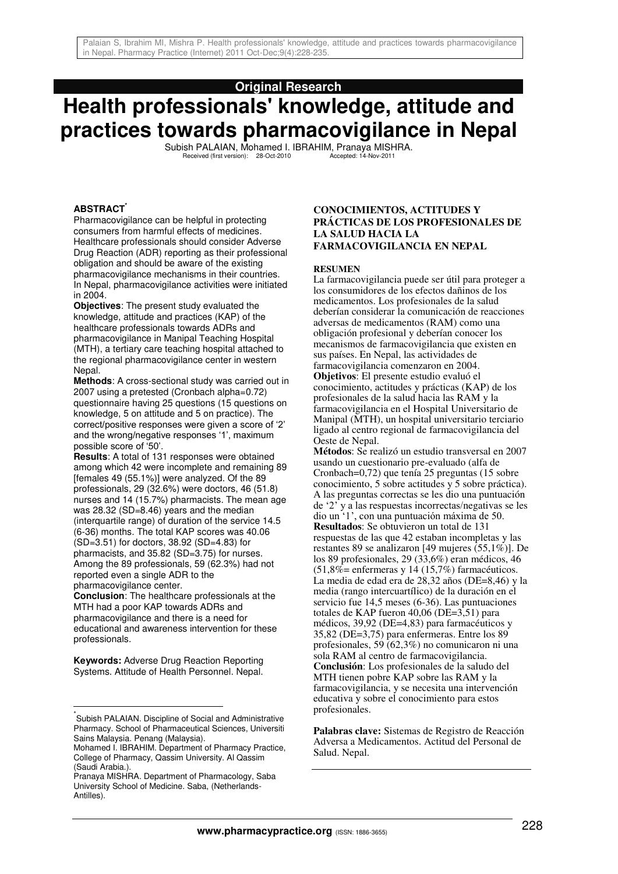# **Original Research**

# **Health professionals' knowledge, attitude and practices towards pharmacovigilance in Nepal**

Subish PALAIAN, Mohamed I. IBRAHIM, Pranaya MISHRA. Received (first version): 28-Oct-2010 Accepted: 14-Nov-2011

#### **ABSTRACT\***

Pharmacovigilance can be helpful in protecting consumers from harmful effects of medicines. Healthcare professionals should consider Adverse Drug Reaction (ADR) reporting as their professional obligation and should be aware of the existing pharmacovigilance mechanisms in their countries. In Nepal, pharmacovigilance activities were initiated in 2004.

**Objectives**: The present study evaluated the knowledge, attitude and practices (KAP) of the healthcare professionals towards ADRs and pharmacovigilance in Manipal Teaching Hospital (MTH), a tertiary care teaching hospital attached to the regional pharmacovigilance center in western Nepal.

**Methods**: A cross-sectional study was carried out in 2007 using a pretested (Cronbach alpha=0.72) questionnaire having 25 questions (15 questions on knowledge, 5 on attitude and 5 on practice). The correct/positive responses were given a score of '2' and the wrong/negative responses '1', maximum possible score of '50'.

**Results**: A total of 131 responses were obtained among which 42 were incomplete and remaining 89 [females 49 (55.1%)] were analyzed. Of the 89 professionals, 29 (32.6%) were doctors, 46 (51.8) nurses and 14 (15.7%) pharmacists. The mean age was 28.32 (SD=8.46) years and the median (interquartile range) of duration of the service 14.5 (6-36) months. The total KAP scores was 40.06 (SD=3.51) for doctors, 38.92 (SD=4.83) for pharmacists, and 35.82 (SD=3.75) for nurses. Among the 89 professionals, 59 (62.3%) had not reported even a single ADR to the

pharmacovigilance center.

 $\overline{1}$ 

**Conclusion**: The healthcare professionals at the MTH had a poor KAP towards ADRs and pharmacovigilance and there is a need for educational and awareness intervention for these professionals.

**Keywords:** Adverse Drug Reaction Reporting Systems. Attitude of Health Personnel. Nepal.

#### **CONOCIMIENTOS, ACTITUDES Y PRÁCTICAS DE LOS PROFESIONALES DE LA SALUD HACIA LA FARMACOVIGILANCIA EN NEPAL**

#### **RESUMEN**

La farmacovigilancia puede ser útil para proteger a los consumidores de los efectos dañinos de los medicamentos. Los profesionales de la salud deberían considerar la comunicación de reacciones adversas de medicamentos (RAM) como una obligación profesional y deberían conocer los mecanismos de farmacovigilancia que existen en sus países. En Nepal, las actividades de farmacovigilancia comenzaron en 2004.

**Objetivos**: El presente estudio evaluó el conocimiento, actitudes y prácticas (KAP) de los profesionales de la salud hacia las RAM y la farmacovigilancia en el Hospital Universitario de Manipal (MTH), un hospital universitario terciario ligado al centro regional de farmacovigilancia del Oeste de Nepal.

**Métodos**: Se realizó un estudio transversal en 2007 usando un cuestionario pre-evaluado (alfa de Cronbach=0,72) que tenía 25 preguntas (15 sobre conocimiento, 5 sobre actitudes y 5 sobre práctica). A las preguntas correctas se les dio una puntuación de '2' y a las respuestas incorrectas/negativas se les dio un '1', con una puntuación máxima de 50. **Resultados**: Se obtuvieron un total de 131 respuestas de las que 42 estaban incompletas y las restantes 89 se analizaron [49 mujeres (55,1%)]. De los 89 profesionales, 29 (33,6%) eran médicos, 46  $(51,8\% =$  enfermeras y 14  $(15,7\%)$  farmacéuticos. La media de edad era de 28,32 años (DE=8,46) y la media (rango intercuartílico) de la duración en el servicio fue 14,5 meses (6-36). Las puntuaciones totales de KAP fueron 40,06 (DE=3,51) para médicos, 39,92 (DE=4,83) para farmacéuticos y 35,82 (DE=3,75) para enfermeras. Entre los 89 profesionales, 59 (62,3%) no comunicaron ni una sola RAM al centro de farmacovigilancia. **Conclusión**: Los profesionales de la saludo del MTH tienen pobre KAP sobre las RAM y la farmacovigilancia, y se necesita una intervención educativa y sobre el conocimiento para estos profesionales.

**Palabras clave:** Sistemas de Registro de Reacción Adversa a Medicamentos. Actitud del Personal de Salud. Nepal.

<sup>\*</sup> Subish PALAIAN. Discipline of Social and Administrative Pharmacy. School of Pharmaceutical Sciences, Universiti Sains Malaysia. Penang (Malaysia).

Mohamed I. IBRAHIM. Department of Pharmacy Practice, College of Pharmacy, Qassim University. Al Qassim (Saudi Arabia.).

Pranaya MISHRA. Department of Pharmacology, Saba University School of Medicine. Saba, (Netherlands-Antilles).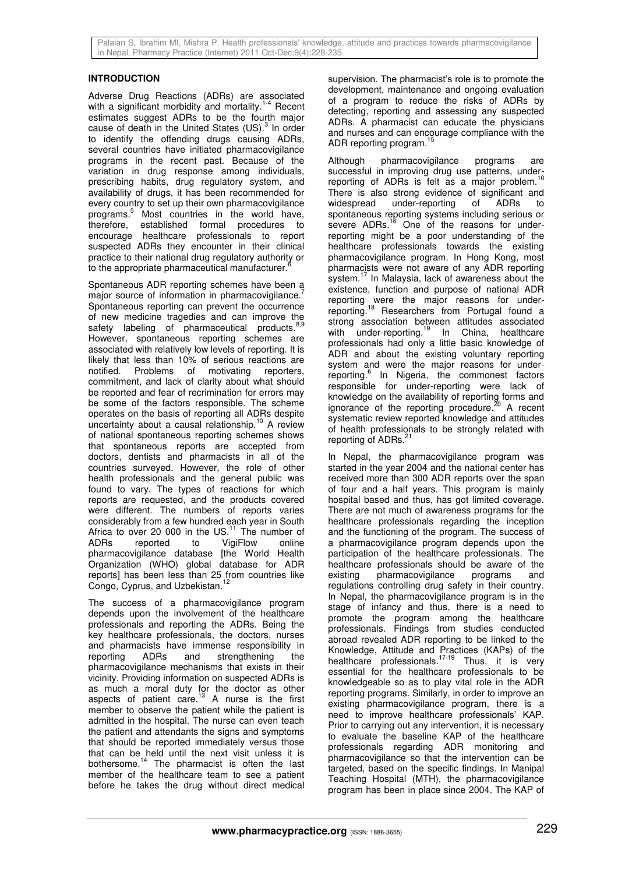# **INTRODUCTION**

Adverse Drug Reactions (ADRs) are associated with a significant morbidity and mortality.<sup>1-4</sup> Recent estimates suggest ADRs to be the fourth major cause of death in the United States  $(US)^3$  In order to identify the offending drugs causing ADRs, several countries have initiated pharmacovigilance programs in the recent past. Because of the variation in drug response among individuals, prescribing habits, drug regulatory system, and availability of drugs, it has been recommended for every country to set up their own pharmacovigilance programs.<sup>5</sup> Most countries in the world have, therefore, established formal procedures to encourage healthcare professionals to report suspected ADRs they encounter in their clinical practice to their national drug regulatory authority or to the appropriate pharmaceutical manufacturer.

Spontaneous ADR reporting schemes have been a major source of information in pharmacovigilance.<sup>7</sup> Spontaneous reporting can prevent the occurrence of new medicine tragedies and can improve the safety labeling of pharmaceutical products.<sup>8</sup> However, spontaneous reporting schemes are associated with relatively low levels of reporting. It is likely that less than 10% of serious reactions are notified. Problems of motivating reporters, commitment, and lack of clarity about what should be reported and fear of recrimination for errors may be some of the factors responsible. The scheme operates on the basis of reporting all ADRs despite uncertainty about a causal relationship.<sup>10</sup> A review of national spontaneous reporting schemes shows that spontaneous reports are accepted from doctors, dentists and pharmacists in all of the countries surveyed. However, the role of other health professionals and the general public was found to vary. The types of reactions for which reports are requested, and the products covered were different. The numbers of reports varies considerably from a few hundred each year in South Africa to over 20 000 in the US.<sup>11</sup> The number of ADRs reported to VigiFlow online pharmacovigilance database [the World Health Organization (WHO) global database for ADR reports] has been less than 25 from countries like Congo, Cyprus, and Uzbekistan.<sup>12</sup>

The success of a pharmacovigilance program depends upon the involvement of the healthcare professionals and reporting the ADRs. Being the key healthcare professionals, the doctors, nurses and pharmacists have immense responsibility in reporting ADRs and strengthening the pharmacovigilance mechanisms that exists in their vicinity. Providing information on suspected ADRs is as much a moral duty for the doctor as other aspects of patient care.<sup>13</sup> A nurse is the first member to observe the patient while the patient is admitted in the hospital. The nurse can even teach the patient and attendants the signs and symptoms that should be reported immediately versus those that can be held until the next visit unless it is bothersome.<sup>14</sup> The pharmacist is often the last member of the healthcare team to see a patient before he takes the drug without direct medical

supervision. The pharmacist's role is to promote the development, maintenance and ongoing evaluation of a program to reduce the risks of ADRs by detecting, reporting and assessing any suspected ADRs. A pharmacist can educate the physicians and nurses and can encourage compliance with the ADR reporting program.

Although pharmacovigilance programs are successful in improving drug use patterns, underreporting of ADRs is felt as a major problem.<sup>10</sup> There is also strong evidence of significant and widespread under-reporting of ADRs to spontaneous reporting systems including serious or severe ADRs.<sup>16</sup> One of the reasons for underreporting might be a poor understanding of the healthcare professionals towards the existing pharmacovigilance program. In Hong Kong, most pharmacists were not aware of any ADR reporting system.<sup>17</sup> In Malaysia, lack of awareness about the In Malaysia, lack of awareness about the existence, function and purpose of national ADR reporting were the major reasons for underreporting.<sup>18</sup> Researchers from Portugal found a strong association between attitudes associated with under-reporting.<sup>19</sup> In China, healthcare professionals had only a little basic knowledge of ADR and about the existing voluntary reporting system and were the major reasons for underreporting.<sup>6</sup> In Nigeria, the commonest factors responsible for under-reporting were lack of knowledge on the availability of reporting forms and ignorance of the reporting procedure. $^{20}$  A recent systematic review reported knowledge and attitudes of health professionals to be strongly related with reporting of ADRs.<sup>2</sup>

In Nepal, the pharmacovigilance program was started in the year 2004 and the national center has received more than 300 ADR reports over the span of four and a half years. This program is mainly hospital based and thus, has got limited coverage. There are not much of awareness programs for the healthcare professionals regarding the inception and the functioning of the program. The success of a pharmacovigilance program depends upon the participation of the healthcare professionals. The healthcare professionals should be aware of the<br>existing pharmacovigilance programs and existing pharmacovigilance programs and regulations controlling drug safety in their country. In Nepal, the pharmacovigilance program is in the stage of infancy and thus, there is a need to promote the program among the healthcare professionals. Findings from studies conducted abroad revealed ADR reporting to be linked to the Knowledge, Attitude and Practices (KAPs) of the healthcare professionals.<sup>17-19</sup> Thus, it is very essential for the healthcare professionals to be knowledgeable so as to play vital role in the ADR reporting programs. Similarly, in order to improve an existing pharmacovigilance program, there is a need to improve healthcare professionals' KAP. Prior to carrying out any intervention, it is necessary to evaluate the baseline KAP of the healthcare professionals regarding ADR monitoring and pharmacovigilance so that the intervention can be targeted, based on the specific findings. In Manipal Teaching Hospital (MTH), the pharmacovigilance program has been in place since 2004. The KAP of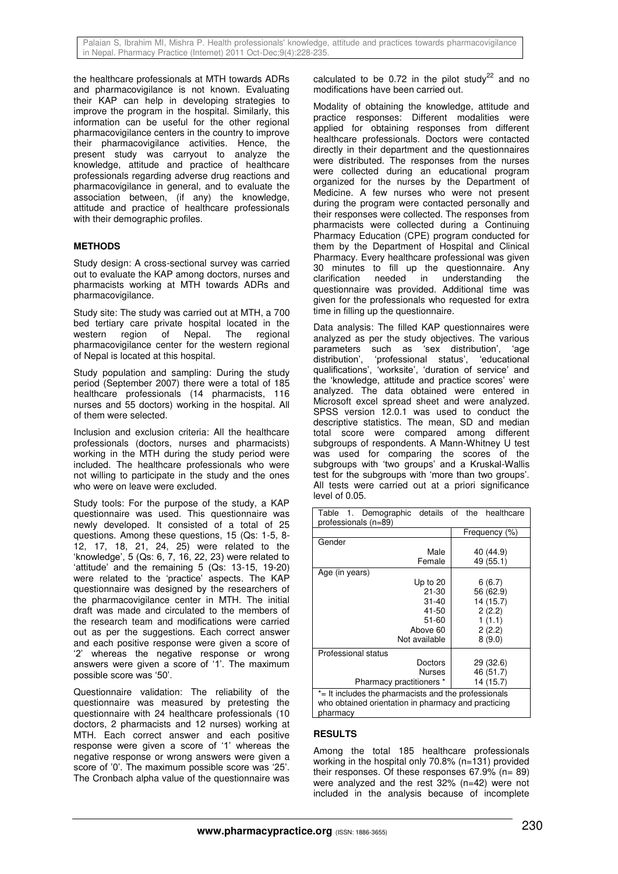the healthcare professionals at MTH towards ADRs and pharmacovigilance is not known. Evaluating their KAP can help in developing strategies to improve the program in the hospital. Similarly, this information can be useful for the other regional pharmacovigilance centers in the country to improve their pharmacovigilance activities. Hence, the present study was carryout to analyze the knowledge, attitude and practice of healthcare professionals regarding adverse drug reactions and pharmacovigilance in general, and to evaluate the association between, (if any) the knowledge, attitude and practice of healthcare professionals with their demographic profiles.

# **METHODS**

Study design: A cross-sectional survey was carried out to evaluate the KAP among doctors, nurses and pharmacists working at MTH towards ADRs and pharmacovigilance.

Study site: The study was carried out at MTH, a 700 bed tertiary care private hospital located in the western region of Nepal. The regional pharmacovigilance center for the western regional of Nepal is located at this hospital.

Study population and sampling: During the study period (September 2007) there were a total of 185 healthcare professionals (14 pharmacists, 116 nurses and 55 doctors) working in the hospital. All of them were selected.

Inclusion and exclusion criteria: All the healthcare professionals (doctors, nurses and pharmacists) working in the MTH during the study period were included. The healthcare professionals who were not willing to participate in the study and the ones who were on leave were excluded.

Study tools: For the purpose of the study, a KAP questionnaire was used. This questionnaire was newly developed. It consisted of a total of 25 questions. Among these questions, 15 (Qs: 1-5, 8- 12, 17, 18, 21, 24, 25) were related to the 'knowledge', 5 (Qs: 6, 7, 16, 22, 23) were related to 'attitude' and the remaining 5 (Qs: 13-15, 19-20) were related to the 'practice' aspects. The KAP questionnaire was designed by the researchers of the pharmacovigilance center in MTH. The initial draft was made and circulated to the members of the research team and modifications were carried out as per the suggestions. Each correct answer and each positive response were given a score of '2' whereas the negative response or wrong answers were given a score of '1'. The maximum possible score was '50'.

Questionnaire validation: The reliability of the questionnaire was measured by pretesting the questionnaire with 24 healthcare professionals (10 doctors, 2 pharmacists and 12 nurses) working at MTH. Each correct answer and each positive response were given a score of '1' whereas the negative response or wrong answers were given a score of '0'. The maximum possible score was '25'. The Cronbach alpha value of the questionnaire was

calculated to be 0.72 in the pilot study<sup>22</sup> and no modifications have been carried out.

Modality of obtaining the knowledge, attitude and practice responses: Different modalities were applied for obtaining responses from different healthcare professionals. Doctors were contacted directly in their department and the questionnaires were distributed. The responses from the nurses were collected during an educational program organized for the nurses by the Department of Medicine. A few nurses who were not present during the program were contacted personally and their responses were collected. The responses from pharmacists were collected during a Continuing Pharmacy Education (CPE) program conducted for them by the Department of Hospital and Clinical Pharmacy. Every healthcare professional was given 30 minutes to fill up the questionnaire. Any clarification needed in understanding the questionnaire was provided. Additional time was given for the professionals who requested for extra time in filling up the questionnaire.

Data analysis: The filled KAP questionnaires were analyzed as per the study objectives. The various parameters such as 'sex distribution', 'age distribution', 'professional status', 'educational qualifications', 'worksite', 'duration of service' and the 'knowledge, attitude and practice scores' were analyzed. The data obtained were entered in Microsoft excel spread sheet and were analyzed. SPSS version 12.0.1 was used to conduct the descriptive statistics. The mean, SD and median total score were compared among different subgroups of respondents. A Mann-Whitney U test was used for comparing the scores of the subgroups with 'two groups' and a Kruskal-Wallis test for the subgroups with 'more than two groups'. All tests were carried out at a priori significance level of 0.05.

| Table 1. Demographic details of the<br>professionals (n=89)                                                             |                |               | healthcare |
|-------------------------------------------------------------------------------------------------------------------------|----------------|---------------|------------|
|                                                                                                                         |                | Frequency (%) |            |
| Gender                                                                                                                  |                |               |            |
|                                                                                                                         | Male           |               | 40 (44.9)  |
|                                                                                                                         | Female         |               | 49 (55.1)  |
| Age (in years)                                                                                                          |                |               |            |
|                                                                                                                         | Up to $20$     |               | 6(6.7)     |
|                                                                                                                         | $21 - 30$      |               | 56 (62.9)  |
|                                                                                                                         | $31 - 40$      |               | 14 (15.7)  |
|                                                                                                                         | 41-50          |               | 2(2.2)     |
|                                                                                                                         | $51 - 60$      |               | 1(1.1)     |
|                                                                                                                         | Above 60       |               | 2(2.2)     |
|                                                                                                                         | Not available  |               | 8(9.0)     |
| Professional status                                                                                                     |                |               |            |
|                                                                                                                         | <b>Doctors</b> |               | 29 (32.6)  |
|                                                                                                                         | <b>Nurses</b>  |               | 46 (51.7)  |
| Pharmacy practitioners *                                                                                                |                |               | 14 (15.7)  |
| *= It includes the pharmacists and the professionals<br>who obtained orientation in pharmacy and practicing<br>pharmacv |                |               |            |

### **RESULTS**

Among the total 185 healthcare professionals working in the hospital only 70.8% (n=131) provided their responses. Of these responses  $67.9\%$  (n= 89) were analyzed and the rest 32% (n=42) were not included in the analysis because of incomplete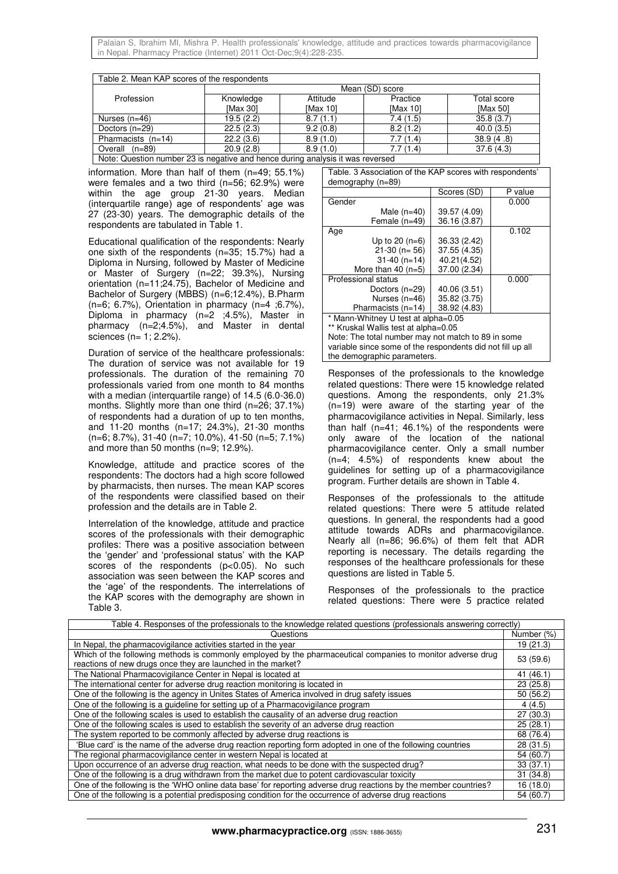| Table 2. Mean KAP scores of the respondents                                    |                 |          |          |             |
|--------------------------------------------------------------------------------|-----------------|----------|----------|-------------|
|                                                                                | Mean (SD) score |          |          |             |
| Profession                                                                     | Knowledge       | Attitude | Practice | Total score |
|                                                                                | <b>IMax 301</b> | [Max 10] | [Max 10] | [Max 50]    |
| Nurses $(n=46)$                                                                | 19.5(2.2)       | 8.7(1.1) | 7.4(1.5) | 35.8(3.7)   |
| Doctors (n=29)                                                                 | 22.5(2.3)       | 9.2(0.8) | 8.2(1.2) | 40.0(3.5)   |
| Pharmacists $(n=14)$                                                           | 22.2(3.6)       | 8.9(1.0) | 7.7(1.4) | 38.9(4.8)   |
| Overall<br>$(n=89)$                                                            | 20.9(2.8)       | 8.9(1.0) | 7.7(1.4) | 37.6(4.3)   |
| Note: Question number 23 is negative and hence during analysis it was reversed |                 |          |          |             |

Note: Question number 23 is negative and hence during analysis it was reversed

information. More than half of them (n=49; 55.1%) were females and a two third (n=56; 62.9%) were within the age group 21-30 years. Median (interquartile range) age of respondents' age was 27 (23-30) years. The demographic details of the respondents are tabulated in Table 1.

Educational qualification of the respondents: Nearly one sixth of the respondents (n=35; 15.7%) had a Diploma in Nursing, followed by Master of Medicine or Master of Surgery (n=22; 39.3%), Nursing orientation (n=11;24.75), Bachelor of Medicine and Bachelor of Surgery (MBBS) (n=6;12.4%), B.Pharm (n=6; 6.7%), Orientation in pharmacy (n=4 ;6.7%), Diploma in pharmacy (n=2 ;4.5%), Master in pharmacy (n=2;4.5%), and Master in dental sciences (n= 1; 2.2%).

Duration of service of the healthcare professionals: The duration of service was not available for 19 professionals. The duration of the remaining 70 professionals varied from one month to 84 months with a median (interquartile range) of 14.5 (6.0-36.0) months. Slightly more than one third (n=26; 37.1%) of respondents had a duration of up to ten months, and 11-20 months (n=17; 24.3%), 21-30 months (n=6; 8.7%), 31-40 (n=7; 10.0%), 41-50 (n=5; 7.1%) and more than 50 months (n=9; 12.9%).

Knowledge, attitude and practice scores of the respondents: The doctors had a high score followed by pharmacists, then nurses. The mean KAP scores of the respondents were classified based on their profession and the details are in Table 2.

Interrelation of the knowledge, attitude and practice scores of the professionals with their demographic profiles: There was a positive association between the 'gender' and 'professional status' with the KAP scores of the respondents (p<0.05). No such association was seen between the KAP scores and the 'age' of the respondents. The interrelations of the KAP scores with the demography are shown in Table 3.

Table. 3 Association of the KAP scores with respondents'

| demography (n=89)                                          |              |         |  |
|------------------------------------------------------------|--------------|---------|--|
|                                                            | Scores (SD)  | P value |  |
| Gender                                                     |              | 0.000   |  |
| Male $(n=40)$                                              | 39.57 (4.09) |         |  |
| Female (n=49)                                              | 36.16 (3.87) |         |  |
| Age                                                        |              | 0.102   |  |
| Up to $20(n=6)$                                            | 36.33 (2.42) |         |  |
| $21-30$ (n= 56)                                            | 37.55 (4.35) |         |  |
| $31-40$ (n=14)                                             | 40.21(4.52)  |         |  |
| More than 40 $(n=5)$                                       | 37.00 (2.34) |         |  |
| Professional status                                        |              | 0.000   |  |
| Doctors $(n=29)$                                           | 40.06 (3.51) |         |  |
| Nurses (n=46)                                              | 35.82 (3.75) |         |  |
| Pharmacists $(n=14)$                                       | 38.92 (4.83) |         |  |
| * Mann-Whitney U test at alpha=0.05                        |              |         |  |
| ** Kruskal Wallis test at alpha=0.05                       |              |         |  |
| Note: The total number may not match to 89 in some         |              |         |  |
| variable since some of the respondents did not fill up all |              |         |  |

Responses of the professionals to the knowledge related questions: There were 15 knowledge related questions. Among the respondents, only 21.3% (n=19) were aware of the starting year of the pharmacovigilance activities in Nepal. Similarly, less than half (n=41; 46.1%) of the respondents were only aware of the location of the national pharmacovigilance center. Only a small number (n=4; 4.5%) of respondents knew about the guidelines for setting up of a pharmacovigilance program. Further details are shown in Table 4.

the demographic parameters.

Responses of the professionals to the attitude related questions: There were 5 attitude related questions. In general, the respondents had a good attitude towards ADRs and pharmacovigilance. Nearly all (n=86; 96.6%) of them felt that ADR reporting is necessary. The details regarding the responses of the healthcare professionals for these questions are listed in Table 5.

Responses of the professionals to the practice related questions: There were 5 practice related

| Table 4. Responses of the professionals to the knowledge related questions (professionals answering correctly)                                                              |            |  |
|-----------------------------------------------------------------------------------------------------------------------------------------------------------------------------|------------|--|
| Questions                                                                                                                                                                   | Number (%) |  |
| In Nepal, the pharmacovigilance activities started in the year                                                                                                              | 19 (21.3)  |  |
| Which of the following methods is commonly employed by the pharmaceutical companies to monitor adverse drug<br>reactions of new drugs once they are launched in the market? | 53 (59.6)  |  |
| The National Pharmacovigilance Center in Nepal is located at                                                                                                                | 41 (46.1)  |  |
| The international center for adverse drug reaction monitoring is located in                                                                                                 | 23(25.8)   |  |
| One of the following is the agency in Unites States of America involved in drug safety issues                                                                               | 50(56.2)   |  |
| One of the following is a guideline for setting up of a Pharmacovigilance program                                                                                           | 4(4.5)     |  |
| One of the following scales is used to establish the causality of an adverse drug reaction                                                                                  | 27(30.3)   |  |
| One of the following scales is used to establish the severity of an adverse drug reaction                                                                                   | 25(28.1)   |  |
| The system reported to be commonly affected by adverse drug reactions is                                                                                                    | 68 (76.4)  |  |
| 'Blue card' is the name of the adverse drug reaction reporting form adopted in one of the following countries                                                               | 28 (31.5)  |  |
| The regional pharmacovigilance center in western Nepal is located at                                                                                                        |            |  |
| Upon occurrence of an adverse drug reaction, what needs to be done with the suspected drug?                                                                                 | 33(37.1)   |  |
| One of the following is a drug withdrawn from the market due to potent cardiovascular toxicity                                                                              | 31(34.8)   |  |
| One of the following is the 'WHO online data base' for reporting adverse drug reactions by the member countries?                                                            |            |  |
| One of the following is a potential predisposing condition for the occurrence of adverse drug reactions                                                                     | 54 (60.7)  |  |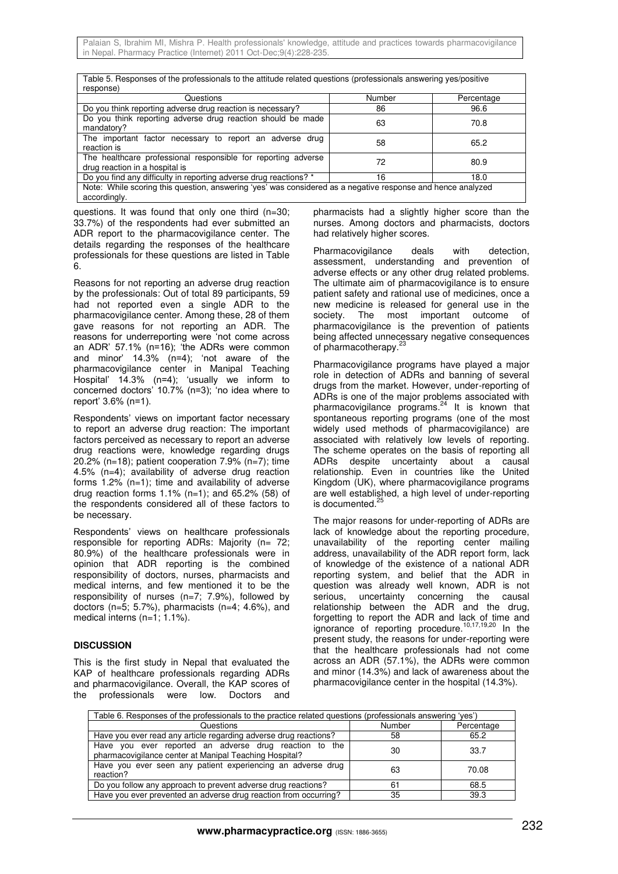Table 5. Responses of the professionals to the attitude related questions (professionals answering yes/positive

| response)                                                                                                                   |        |            |
|-----------------------------------------------------------------------------------------------------------------------------|--------|------------|
| Questions                                                                                                                   | Number | Percentage |
| Do you think reporting adverse drug reaction is necessary?                                                                  | 86     | 96.6       |
| Do you think reporting adverse drug reaction should be made<br>mandatory?                                                   | 63     | 70.8       |
| The important factor necessary to report an adverse drug<br>reaction is                                                     | 58     | 65.2       |
| The healthcare professional responsible for reporting adverse<br>drug reaction in a hospital is                             | 72     | 80.9       |
| Do you find any difficulty in reporting adverse drug reactions? *                                                           | 16     | 18.0       |
| Note: While scoring this question, answering 'yes' was considered as a negative response and hence analyzed<br>accordingly. |        |            |

questions. It was found that only one third (n=30; 33.7%) of the respondents had ever submitted an ADR report to the pharmacovigilance center. The details regarding the responses of the healthcare professionals for these questions are listed in Table 6.

Reasons for not reporting an adverse drug reaction by the professionals: Out of total 89 participants, 59 had not reported even a single ADR to the pharmacovigilance center. Among these, 28 of them gave reasons for not reporting an ADR. The reasons for underreporting were 'not come across an ADR' 57.1% (n=16); 'the ADRs were common and minor' 14.3% (n=4); 'not aware of the pharmacovigilance center in Manipal Teaching Hospital' 14.3% (n=4); 'usually we inform to concerned doctors' 10.7% (n=3); 'no idea where to report' 3.6% (n=1).

Respondents' views on important factor necessary to report an adverse drug reaction: The important factors perceived as necessary to report an adverse drug reactions were, knowledge regarding drugs 20.2% (n=18); patient cooperation 7.9% (n=7); time 4.5% (n=4); availability of adverse drug reaction forms 1.2% (n=1); time and availability of adverse drug reaction forms 1.1% (n=1); and 65.2% (58) of the respondents considered all of these factors to be necessary.

Respondents' views on healthcare professionals responsible for reporting ADRs: Majority (n= 72; 80.9%) of the healthcare professionals were in opinion that ADR reporting is the combined responsibility of doctors, nurses, pharmacists and medical interns, and few mentioned it to be the responsibility of nurses (n=7; 7.9%), followed by doctors (n=5; 5.7%), pharmacists (n=4; 4.6%), and medical interns (n=1; 1.1%).

### **DISCUSSION**

This is the first study in Nepal that evaluated the KAP of healthcare professionals regarding ADRs and pharmacovigilance. Overall, the KAP scores of the professionals were low. Doctors and pharmacists had a slightly higher score than the nurses. Among doctors and pharmacists, doctors had relatively higher scores.

Pharmacovigilance deals with detection, assessment, understanding and prevention of adverse effects or any other drug related problems. The ultimate aim of pharmacovigilance is to ensure patient safety and rational use of medicines, once a new medicine is released for general use in the society. The most important outcome of pharmacovigilance is the prevention of patients being affected unnecessary negative consequences of pharmacotherapy.<sup>23</sup>

Pharmacovigilance programs have played a major role in detection of ADRs and banning of several drugs from the market. However, under-reporting of ADRs is one of the major problems associated with pharmacovigilance programs. $24$  It is known that spontaneous reporting programs (one of the most widely used methods of pharmacovigilance) are associated with relatively low levels of reporting. The scheme operates on the basis of reporting all ADRs despite uncertainty about a causal relationship. Even in countries like the United Kingdom (UK), where pharmacovigilance programs are well established, a high level of under-reporting is documented.<sup>25</sup>

The major reasons for under-reporting of ADRs are lack of knowledge about the reporting procedure, unavailability of the reporting center mailing address, unavailability of the ADR report form, lack of knowledge of the existence of a national ADR reporting system, and belief that the ADR in question was already well known, ADR is not serious, uncertainty concerning the causal relationship between the ADR and the drug, forgetting to report the ADR and lack of time and ignorance of reporting procedure.<sup>10,17,19,20</sup> In the present study, the reasons for under-reporting were that the healthcare professionals had not come across an ADR (57.1%), the ADRs were common and minor (14.3%) and lack of awareness about the pharmacovigilance center in the hospital (14.3%).

| Table 6. Responses of the professionals to the practice related questions (professionals answering 'yes')        |        |            |  |
|------------------------------------------------------------------------------------------------------------------|--------|------------|--|
| Questions                                                                                                        | Number | Percentage |  |
| Have you ever read any article regarding adverse drug reactions?                                                 | 58     | 65.2       |  |
| Have you ever reported an adverse drug reaction to the<br>pharmacovigilance center at Manipal Teaching Hospital? | 30     | 33.7       |  |
| Have you ever seen any patient experiencing an adverse drug<br>reaction?                                         | 63     | 70.08      |  |
| Do you follow any approach to prevent adverse drug reactions?                                                    | 61     | 68.5       |  |
| Have you ever prevented an adverse drug reaction from occurring?                                                 | 35     | 39.3       |  |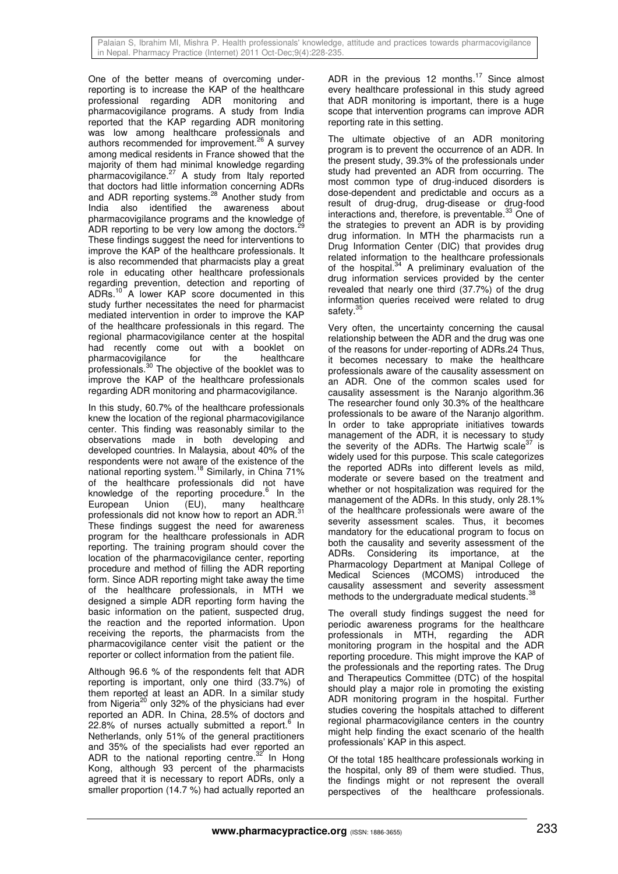One of the better means of overcoming underreporting is to increase the KAP of the healthcare professional regarding ADR monitoring and pharmacovigilance programs. A study from India reported that the KAP regarding ADR monitoring was low among healthcare professionals and authors recommended for improvement.<sup>26</sup> A survey among medical residents in France showed that the majority of them had minimal knowledge regarding pharmacovigilance.<sup>27</sup> A study from Italy reported that doctors had little information concerning ADRs and ADR reporting systems.<sup>28</sup> Another study from India also identified the awareness about pharmacovigilance programs and the knowledge of ADR reporting to be very low among the doctors.<sup>2</sup> These findings suggest the need for interventions to improve the KAP of the healthcare professionals. It is also recommended that pharmacists play a great role in educating other healthcare professionals regarding prevention, detection and reporting of ADRs.<sup>10</sup> A lower KAP score documented in this study further necessitates the need for pharmacist mediated intervention in order to improve the KAP of the healthcare professionals in this regard. The regional pharmacovigilance center at the hospital had recently come out with a booklet on pharmacovigilance for the healthcare professionals.<sup>30</sup> The objective of the booklet was to improve the KAP of the healthcare professionals regarding ADR monitoring and pharmacovigilance.

In this study, 60.7% of the healthcare professionals knew the location of the regional pharmacovigilance center. This finding was reasonably similar to the observations made in both developing and developed countries. In Malaysia, about 40% of the respondents were not aware of the existence of the national reporting system.<sup>18</sup> Similarly, in China 71% of the healthcare professionals did not have knowledge of the reporting procedure.<sup>6</sup> In the European Union (EU), many healthcare professionals did not know how to report an ADR.<sup>31</sup> These findings suggest the need for awareness program for the healthcare professionals in ADR reporting. The training program should cover the location of the pharmacovigilance center, reporting procedure and method of filling the ADR reporting form. Since ADR reporting might take away the time of the healthcare professionals, in MTH we designed a simple ADR reporting form having the basic information on the patient, suspected drug, the reaction and the reported information. Upon receiving the reports, the pharmacists from the pharmacovigilance center visit the patient or the reporter or collect information from the patient file.

Although 96.6 % of the respondents felt that ADR reporting is important, only one third (33.7%) of them reported at least an ADR. In a similar study from Nigeria<sup>20</sup> only 32% of the physicians had ever reported an ADR. In China, 28.5% of doctors and  $22.8\%$  of nurses actually submitted a report.<sup>6</sup> In Netherlands, only 51% of the general practitioners and 35% of the specialists had ever reported an ADR to the national reporting centre. $32$  In Hong Kong, although 93 percent of the pharmacists agreed that it is necessary to report ADRs, only a smaller proportion (14.7 %) had actually reported an

ADR in the previous 12 months.<sup>17</sup> Since almost every healthcare professional in this study agreed that ADR monitoring is important, there is a huge scope that intervention programs can improve ADR reporting rate in this setting.

The ultimate objective of an ADR monitoring program is to prevent the occurrence of an ADR. In the present study, 39.3% of the professionals under study had prevented an ADR from occurring. The most common type of drug-induced disorders is dose-dependent and predictable and occurs as a result of drug-drug, drug-disease or drug-food interactions and, therefore, is preventable.<sup>33</sup> One of the strategies to prevent an ADR is by providing drug information. In MTH the pharmacists run a Drug Information Center (DIC) that provides drug related information to the healthcare professionals of the hospital. $34$  A preliminary evaluation of the drug information services provided by the center revealed that nearly one third (37.7%) of the drug information queries received were related to drug safety.<sup>3</sup>

Very often, the uncertainty concerning the causal relationship between the ADR and the drug was one of the reasons for under-reporting of ADRs.24 Thus, it becomes necessary to make the healthcare professionals aware of the causality assessment on an ADR. One of the common scales used for causality assessment is the Naranjo algorithm.36 The researcher found only 30.3% of the healthcare professionals to be aware of the Naranjo algorithm. In order to take appropriate initiatives towards management of the ADR, it is necessary to study the severity of the ADRs. The Hartwig scale  $37$  is widely used for this purpose. This scale categorizes the reported ADRs into different levels as mild, moderate or severe based on the treatment and whether or not hospitalization was required for the management of the ADRs. In this study, only 28.1% of the healthcare professionals were aware of the severity assessment scales. Thus, it becomes mandatory for the educational program to focus on both the causality and severity assessment of the ADRs. Considering its importance, at the Pharmacology Department at Manipal College of Medical Sciences (MCOMS) introduced the causality assessment and severity assessment methods to the undergraduate medical students.<sup>38</sup>

The overall study findings suggest the need for periodic awareness programs for the healthcare professionals in MTH, regarding the ADR monitoring program in the hospital and the ADR reporting procedure. This might improve the KAP of the professionals and the reporting rates. The Drug and Therapeutics Committee (DTC) of the hospital should play a major role in promoting the existing ADR monitoring program in the hospital. Further studies covering the hospitals attached to different regional pharmacovigilance centers in the country might help finding the exact scenario of the health professionals' KAP in this aspect.

Of the total 185 healthcare professionals working in the hospital, only 89 of them were studied. Thus, the findings might or not represent the overall perspectives of the healthcare professionals.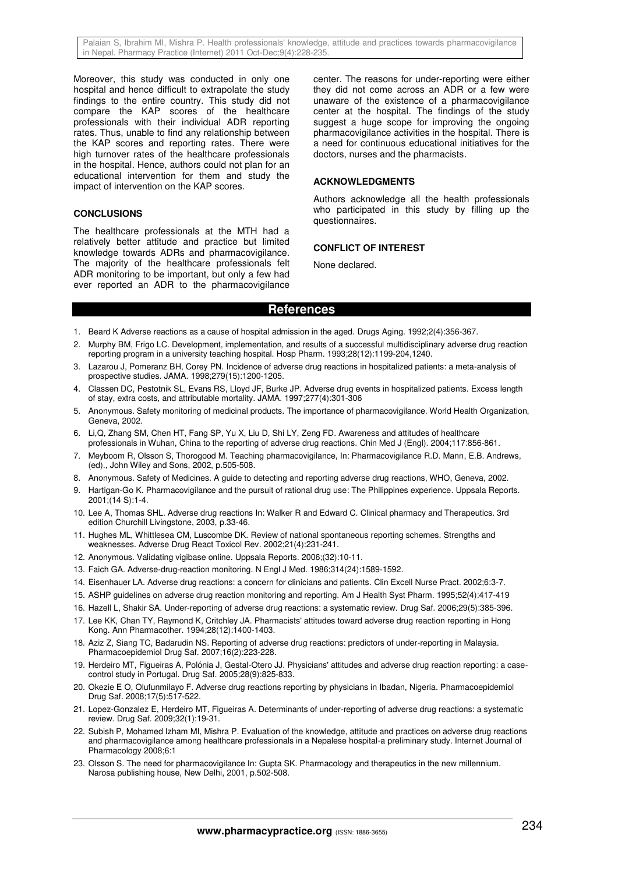Moreover, this study was conducted in only one hospital and hence difficult to extrapolate the study findings to the entire country. This study did not compare the KAP scores of the healthcare professionals with their individual ADR reporting rates. Thus, unable to find any relationship between the KAP scores and reporting rates. There were high turnover rates of the healthcare professionals in the hospital. Hence, authors could not plan for an educational intervention for them and study the impact of intervention on the KAP scores.

#### **CONCLUSIONS**

The healthcare professionals at the MTH had a relatively better attitude and practice but limited knowledge towards ADRs and pharmacovigilance. The majority of the healthcare professionals felt ADR monitoring to be important, but only a few had ever reported an ADR to the pharmacovigilance

center. The reasons for under-reporting were either they did not come across an ADR or a few were unaware of the existence of a pharmacovigilance center at the hospital. The findings of the study suggest a huge scope for improving the ongoing pharmacovigilance activities in the hospital. There is a need for continuous educational initiatives for the doctors, nurses and the pharmacists.

### **ACKNOWLEDGMENTS**

Authors acknowledge all the health professionals who participated in this study by filling up the questionnaires.

### **CONFLICT OF INTEREST**

None declared.

# **References**

- 1. Beard K Adverse reactions as a cause of hospital admission in the aged. Drugs Aging. 1992;2(4):356-367.
- 2. Murphy BM, Frigo LC. Development, implementation, and results of a successful multidisciplinary adverse drug reaction reporting program in a university teaching hospital. Hosp Pharm. 1993;28(12):1199-204,1240.
- 3. Lazarou J, Pomeranz BH, Corey PN. Incidence of adverse drug reactions in hospitalized patients: a meta-analysis of prospective studies. JAMA. 1998;279(15):1200-1205.
- 4. Classen DC, Pestotnik SL, Evans RS, Lloyd JF, Burke JP. Adverse drug events in hospitalized patients. Excess length of stay, extra costs, and attributable mortality. JAMA. 1997;277(4):301-306
- 5. Anonymous. Safety monitoring of medicinal products. The importance of pharmacovigilance. World Health Organization, Geneva, 2002.
- 6. Li,Q, Zhang SM, Chen HT, Fang SP, Yu X, Liu D, Shi LY, Zeng FD. Awareness and attitudes of healthcare professionals in Wuhan, China to the reporting of adverse drug reactions. Chin Med J (Engl). 2004;117:856-861.
- 7. Meyboom R, Olsson S, Thorogood M. Teaching pharmacovigilance, In: Pharmacovigilance R.D. Mann, E.B. Andrews, (ed)., John Wiley and Sons, 2002, p.505-508.
- 8. Anonymous. Safety of Medicines. A guide to detecting and reporting adverse drug reactions, WHO, Geneva, 2002.
- 9. Hartigan-Go K. Pharmacovigilance and the pursuit of rational drug use: The Philippines experience. Uppsala Reports. 2001;(14 S):1-4.
- 10. Lee A, Thomas SHL. Adverse drug reactions In: Walker R and Edward C. Clinical pharmacy and Therapeutics. 3rd edition Churchill Livingstone, 2003, p.33-46.
- 11. Hughes ML, Whittlesea CM, Luscombe DK. Review of national spontaneous reporting schemes. Strengths and weaknesses. Adverse Drug React Toxicol Rev. 2002;21(4):231-241.
- 12. Anonymous. Validating vigibase online. Uppsala Reports. 2006;(32):10-11.
- 13. Faich GA. Adverse-drug-reaction monitoring. N Engl J Med. 1986;314(24):1589-1592.
- 14. Eisenhauer LA. Adverse drug reactions: a concern for clinicians and patients. Clin Excell Nurse Pract. 2002;6:3-7.
- 15. ASHP guidelines on adverse drug reaction monitoring and reporting. Am J Health Syst Pharm. 1995;52(4):417-419
- 16. Hazell L, Shakir SA. Under-reporting of adverse drug reactions: a systematic review. Drug Saf. 2006;29(5):385-396.
- 17. Lee KK, Chan TY, Raymond K, Critchley JA. Pharmacists' attitudes toward adverse drug reaction reporting in Hong Kong. Ann Pharmacother. 1994;28(12):1400-1403.
- 18. Aziz Z, Siang TC, Badarudin NS. Reporting of adverse drug reactions: predictors of under-reporting in Malaysia. Pharmacoepidemiol Drug Saf. 2007;16(2):223-228.
- 19. Herdeiro MT, Figueiras A, Polónia J, Gestal-Otero JJ. Physicians' attitudes and adverse drug reaction reporting: a casecontrol study in Portugal. Drug Saf. 2005;28(9):825-833.
- 20. Okezie E O, Olufunmilayo F. Adverse drug reactions reporting by physicians in Ibadan, Nigeria. Pharmacoepidemiol Drug Saf. 2008;17(5):517-522.
- 21. Lopez-Gonzalez E, Herdeiro MT, Figueiras A. Determinants of under-reporting of adverse drug reactions: a systematic review. Drug Saf. 2009;32(1):19-31.
- 22. Subish P, Mohamed Izham MI, Mishra P. Evaluation of the knowledge, attitude and practices on adverse drug reactions and pharmacovigilance among healthcare professionals in a Nepalese hospital-a preliminary study. Internet Journal of Pharmacology 2008;6:1
- 23. Olsson S. The need for pharmacovigilance In: Gupta SK. Pharmacology and therapeutics in the new millennium. Narosa publishing house, New Delhi, 2001, p.502-508.